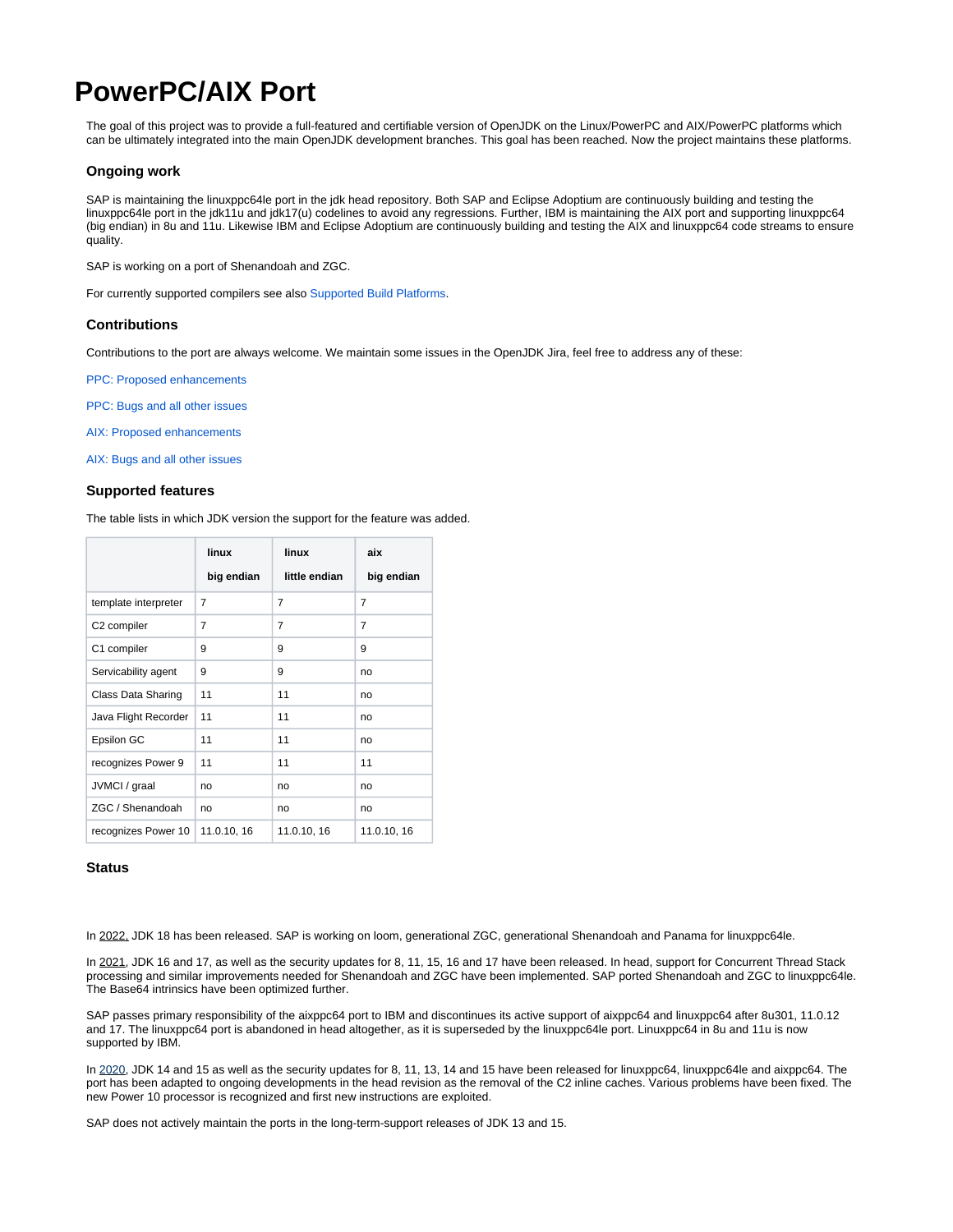# <span id="page-0-0"></span>**PowerPC/AIX Port**

The goal of this project was to provide a full-featured and certifiable version of OpenJDK on the Linux/PowerPC and AIX/PowerPC platforms which can be ultimately integrated into the main OpenJDK development branches. This goal has been reached. Now the project maintains these platforms.

## **Ongoing work**

SAP is maintaining the linuxppc64le port in the jdk head repository. Both SAP and Eclipse Adoptium are continuously building and testing the linuxppc64le port in the jdk11u and jdk17(u) codelines to avoid any regressions. Further, IBM is maintaining the AIX port and supporting linuxppc64 (big endian) in 8u and 11u. Likewise IBM and Eclipse Adoptium are continuously building and testing the AIX and linuxppc64 code streams to ensure quality.

SAP is working on a port of Shenandoah and ZGC.

For currently supported compilers see also [Supported Build Platforms](https://wiki.openjdk.org/display/Build/Supported+Build+Platforms).

#### **Contributions**

Contributions to the port are always welcome. We maintain some issues in the OpenJDK Jira, feel free to address any of these:

[PPC: Proposed enhancements](https://bugs.openjdk.java.net/browse/JDK-8143395?jql=status%3Dopen%20AND%20cpu%3Dppc%20AND%20type%3Denhancement%20AND%20os!%3Daix)

[PPC: Bugs and all other issues](https://bugs.openjdk.java.net/browse/JDK-8143395?jql=status%3Dopen%20AND%20cpu%3Dppc%20AND%20type!%3Denhancement%20AND%20os!%3Daix)

[AIX: Proposed enhancements](https://bugs.openjdk.java.net/browse/JDK-8143395?jql=status%3Dopen%20AND%20os%3Daix%20AND%20type%3Denhancement)

[AIX: Bugs and all other issues](https://bugs.openjdk.java.net/browse/JDK-8143395?jql=status%3Dopen%20AND%20os%3Daix%20AND%20type!%3Denhancement)

#### **Supported features**

The table lists in which JDK version the support for the feature was added.

|                      | linux       | linux          | aix            |
|----------------------|-------------|----------------|----------------|
|                      | big endian  | little endian  | big endian     |
| template interpreter | 7           | $\overline{7}$ | $\overline{7}$ |
| C2 compiler          | 7           | 7              | $\overline{7}$ |
| C1 compiler          | 9           | 9              | 9              |
| Servicability agent  | 9           | 9              | no             |
| Class Data Sharing   | 11          | 11             | no             |
| Java Flight Recorder | 11          | 11             | no             |
| Epsilon GC           | 11          | 11             | no             |
| recognizes Power 9   | 11          | 11             | 11             |
| JVMCI / graal        | no          | no             | no             |
| ZGC / Shenandoah     | no          | no             | no             |
| recognizes Power 10  | 11.0.10, 16 | 11.0.10, 16    | 11.0.10, 16    |

### **Status**

In 2022, JDK 18 has been released. SAP is working on loom, generational ZGC, generational Shenandoah and Panama for linuxppc64le.

In 2021, JDK 16 and 17, as well as the security updates for 8, 11, 15, 16 and 17 have been released. In head, support for Concurrent Thread Stack processing and similar improvements needed for Shenandoah and ZGC have been implemented. SAP ported Shenandoah and ZGC to linuxppc64le. The Base64 intrinsics have been optimized further.

SAP passes primary responsibility of the aixppc64 port to IBM and discontinues its active support of aixppc64 and linuxppc64 after 8u301, 11.0.12 and 17. The linuxppc64 port is abandoned in head altogether, as it is superseded by the linuxppc64le port. Linuxppc64 in 8u and 11u is now supported by IBM.

In 2020, JDK 14 and 15 as well as the security updates for 8, 11, 13, 14 and 15 have been released for linuxppc64, linuxppc64le and aixppc64. The port has been adapted to ongoing developments in the head revision as the removal of the C2 inline caches. Various problems have been fixed. The new Power 10 processor is recognized and first new instructions are exploited.

SAP does not actively maintain the ports in the long-term-support releases of JDK 13 and 15.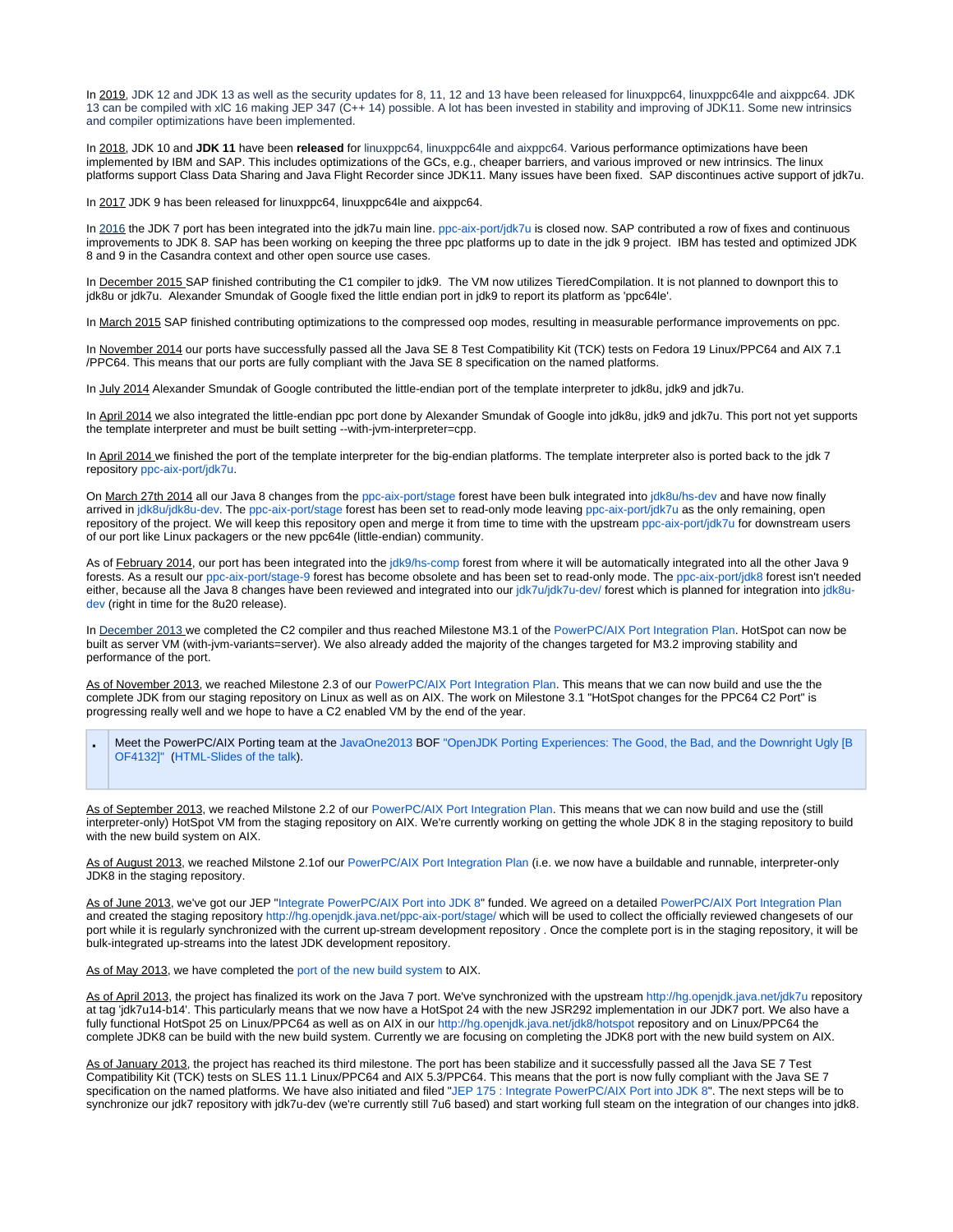In 2019, JDK 12 and JDK 13 as well as the security updates for 8, 11, 12 and 13 have been released for linuxppc64, linuxppc64le and aixppc64. JDK 13 can be compiled with xlC 16 making JEP 347 (C++ 14) possible. A lot has been invested in stability and improving of JDK11. Some new intrinsics and compiler optimizations have been implemented.

In 2018, JDK 10 and **JDK 11** have been **released** for linuxppc64, linuxppc64le and aixppc64. Various performance optimizations have been implemented by IBM and SAP. This includes optimizations of the GCs, e.g., cheaper barriers, and various improved or new intrinsics. The linux platforms support Class Data Sharing and Java Flight Recorder since JDK11. Many issues have been fixed. SAP discontinues active support of jdk7u.

In 2017 JDK 9 has been released for linuxppc64, linuxppc64le and aixppc64.

In 2016 the JDK 7 port has been integrated into the jdk7u main line. [ppc-aix-port/jdk7u](http://hg.openjdk.java.net/ppc-aix-port/jdk7u) is closed now. SAP contributed a row of fixes and continuous improvements to JDK 8. SAP has been working on keeping the three ppc platforms up to date in the jdk 9 project. IBM has tested and optimized JDK 8 and 9 in the Casandra context and other open source use cases.

In December 2015 SAP finished contributing the C1 compiler to jdk9. The VM now utilizes TieredCompilation. It is not planned to downport this to jdk8u or jdk7u. Alexander Smundak of Google fixed the little endian port in jdk9 to report its platform as 'ppc64le'.

In March 2015 SAP finished contributing optimizations to the compressed oop modes, resulting in measurable performance improvements on ppc.

In November 2014 our ports have successfully passed all the Java SE 8 Test Compatibility Kit (TCK) tests on Fedora 19 Linux/PPC64 and AIX 7.1 /PPC64. This means that our ports are fully compliant with the Java SE 8 specification on the named platforms.

In July 2014 Alexander Smundak of Google contributed the little-endian port of the template interpreter to jdk8u, jdk9 and jdk7u.

In April 2014 we also integrated the little-endian ppc port done by Alexander Smundak of Google into jdk8u, jdk9 and jdk7u. This port not yet supports the template interpreter and must be built setting --with-jvm-interpreter=cpp.

In April 2014 we finished the port of the template interpreter for the big-endian platforms. The template interpreter also is ported back to the jdk 7 repository [ppc-aix-port/jdk7u](http://hg.openjdk.java.net/ppc-aix-port/jdk7u).

On March 27th 2014 all our Java 8 changes from the [ppc-aix-port/stage](http://hg.openjdk.java.net/ppc-aix-port/stage) forest have been bulk integrated into [jdk8u/hs-dev](http://hg.openjdk.java.net/jdk8u/hs-dev) and have now finally arrived in [jdk8u/jdk8u-dev.](http://hg.openjdk.java.net/jdk8u/jdk8u-dev/) The [ppc-aix-port/stage](http://hg.openjdk.java.net/ppc-aix-port/stage) forest has been set to read-only mode leaving [ppc-aix-port/jdk7u](http://hg.openjdk.java.net/ppc-aix-port/jdk7u) as the only remaining, open repository of the project. We will keep this repository open and merge it from time to time with the upstream [ppc-aix-port/jdk7u](http://hg.openjdk.java.net/ppc-aix-port/jdk7u) for downstream users of our port like Linux packagers or the new ppc64le (little-endian) community.

As of February 2014, our port has been integrated into the [jdk9/hs-comp](http://hg.openjdk.java.net/jdk9/hs-comp/) forest from where it will be automatically integrated into all the other Java 9 forests. As a result our [ppc-aix-port/stage-9](http://hg.openjdk.java.net/ppc-aix-port/stage-9) forest has become obsolete and has been set to read-only mode. The [ppc-aix-port/jdk8](http://hg.openjdk.java.net/ppc-aix-port/jdk8) forest isn't needed either, because all the Java 8 changes have been reviewed and integrated into our [jdk7u/jdk7u-dev/](http://hg.openjdk.java.net/jdk7u/jdk7u-dev/) forest which is planned for integration into [jdk8u](http://hg.openjdk.java.net/jdk8u/jdk8u-dev/)[dev](http://hg.openjdk.java.net/jdk8u/jdk8u-dev/) (right in time for the 8u20 release).

In December 2013 we completed the C2 compiler and thus reached Milestone M3.1 of the [PowerPC/AIX Port Integration Plan](https://wiki.openjdk.org/pages/viewpage.action?pageId=13729959). HotSpot can now be built as server VM (with-jvm-variants=server). We also already added the majority of the changes targeted for M3.2 improving stability and performance of the port.

As of November 2013, we reached Milestone 2.3 of our [PowerPC/AIX Port Integration Plan](https://wiki.openjdk.org/pages/viewpage.action?pageId=13729959). This means that we can now build and use the the complete JDK from our staging repository on Linux as well as on AIX. The work on Milestone 3.1 "HotSpot changes for the PPC64 C2 Port" is progressing really well and we hope to have a C2 enabled VM by the end of the year.

Meet the PowerPC/AIX Porting team at the [JavaOne2013](http://www.oracle.com/javaone) BOF ["OpenJDK Porting Experiences: The Good, the Bad, and the Downright Ugly](https://oracleus.activeevents.com/2013/connect/sessionDetail.ww?SESSION_ID=4132) [B [OF4132\]"](https://oracleus.activeevents.com/2013/connect/sessionDetail.ww?SESSION_ID=4132) [\(HTML-Slides of the talk](http://openjdkpower.osuosl.org/OpenJDK/JavaOne2013/JavaOne2013.html)).

As of September 2013, we reached Milstone 2.2 of our [PowerPC/AIX Port Integration Plan](https://wiki.openjdk.org/pages/viewpage.action?pageId=13729959). This means that we can now build and use the (still interpreter-only) HotSpot VM from the staging repository on AIX. We're currently working on getting the whole JDK 8 in the staging repository to build with the new build system on AIX.

As of August 2013, we reached Milstone 2.1of our [PowerPC/AIX Port Integration Plan](https://wiki.openjdk.org/pages/viewpage.action?pageId=13729959) (i.e. we now have a buildable and runnable, interpreter-only JDK8 in the staging repository.

As of June 2013, we've got our JEP "[Integrate PowerPC/AIX Port into JDK 8"](http://openjdk.java.net/jeps/175) funded. We agreed on a detailed [PowerPC/AIX Port Integration Plan](https://wiki.openjdk.org/pages/viewpage.action?pageId=13729959) and created the staging repository <http://hg.openjdk.java.net/ppc-aix-port/stage/> which will be used to collect the officially reviewed changesets of our port while it is regularly synchronized with the current up-stream development repository . Once the complete port is in the staging repository, it will be bulk-integrated up-streams into the latest JDK development repository.

#### As of May 2013, we have completed the [port of the new build system](http://mail.openjdk.java.net/pipermail/ppc-aix-port-dev/2013-May/000484.html) to AIX.

As of April 2013, the project has finalized its work on the Java 7 port. We've synchronized with the upstream<http://hg.openjdk.java.net/jdk7u> repository at tag 'jdk7u14-b14'. This particularly means that we now have a HotSpot 24 with the new JSR292 implementation in our JDK7 port. We also have a fully functional HotSpot 25 on Linux/PPC64 as well as on AIX in our<http://hg.openjdk.java.net/jdk8/hotspot>repository and on Linux/PPC64 the complete JDK8 can be build with the new build system. Currently we are focusing on completing the JDK8 port with the new build system on AIX.

As of January 2013, the project has reached its third milestone. The port has been stabilize and it successfully passed all the Java SE 7 Test Compatibility Kit (TCK) tests on SLES 11.1 Linux/PPC64 and AIX 5.3/PPC64. This means that the port is now fully compliant with the Java SE 7 specification on the named platforms. We have also initiated and filed ["JEP 175 : Integrate PowerPC/AIX Port into JDK 8](http://openjdk.java.net/jeps/175)". The next steps will be to synchronize our jdk7 repository with jdk7u-dev (we're currently still 7u6 based) and start working full steam on the integration of our changes into jdk8.